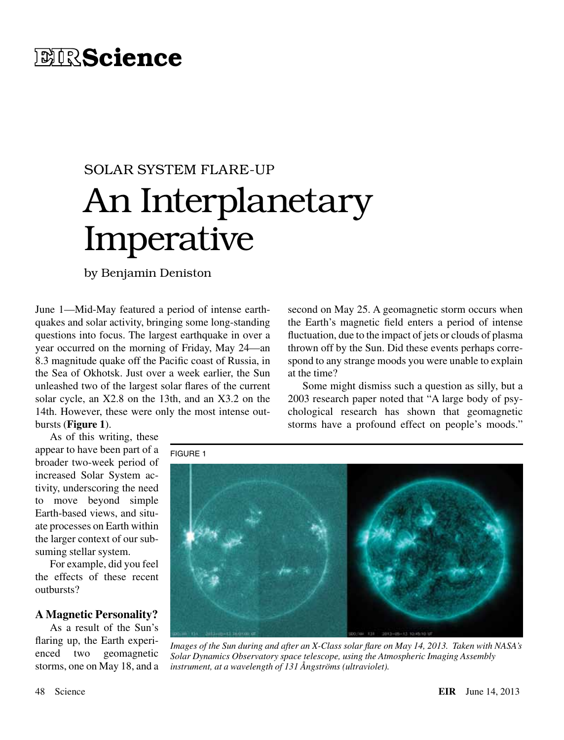# **EIRScience**

# SOLAR SYSTEM FLARE-UP An Interplanetary Imperative

by Benjamin Deniston

June 1—Mid-May featured a period of intense earthquakes and solar activity, bringing some long-standing questions into focus. The largest earthquake in over a year occurred on the morning of Friday, May 24—an 8.3 magnitude quake off the Pacific coast of Russia, in the Sea of Okhotsk. Just over a week earlier, the Sun unleashed two of the largest solar flares of the current solar cycle, an X2.8 on the 13th, and an X3.2 on the 14th. However, these were only the most intense outbursts (**Figure 1**).

As of this writing, these appear to have been part of a broader two-week period of increased Solar System activity, underscoring the need to move beyond simple Earth-based views, and situate processes on Earth within the larger context of our subsuming stellar system.

For example, did you feel the effects of these recent outbursts?

# **A Magnetic Personality?**

As a result of the Sun's flaring up, the Earth experienced two geomagnetic storms, one on May 18, and a second on May 25. A geomagnetic storm occurs when the Earth's magnetic field enters a period of intense fluctuation, due to the impact of jets or clouds of plasma thrown off by the Sun. Did these events perhaps correspond to any strange moods you were unable to explain at the time?

Some might dismiss such a question as silly, but a 2003 research paper noted that "A large body of psychological research has shown that geomagnetic storms have a profound effect on people's moods."

FIGURE 1



*Images of the Sun during and after an X-Class solar flare on May 14, 2013. Taken with NASA's Solar Dynamics Observatory space telescope, using the Atmospheric Imaging Assembly instrument, at a wavelength of 131 Ångströms (ultraviolet).*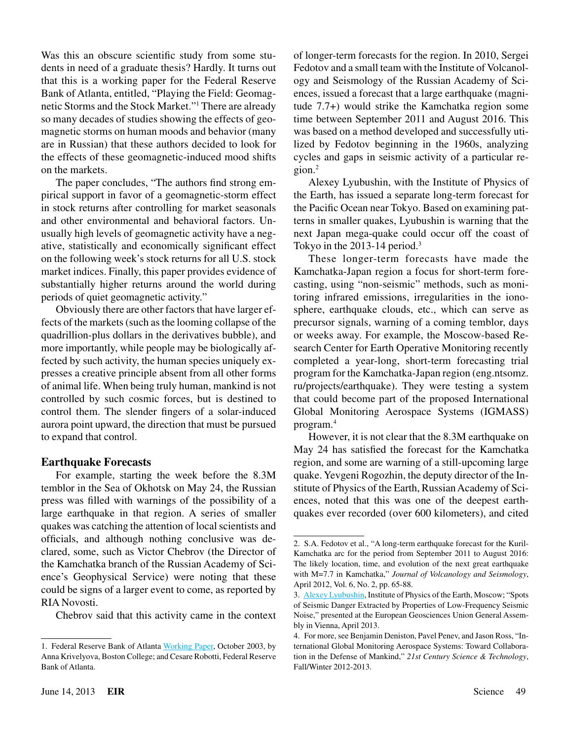Was this an obscure scientific study from some students in need of a graduate thesis? Hardly. It turns out that this is a working paper for the Federal Reserve Bank of Atlanta, entitled, "Playing the Field: Geomagnetic Storms and the Stock Market."1 There are already so many decades of studies showing the effects of geomagnetic storms on human moods and behavior (many are in Russian) that these authors decided to look for the effects of these geomagnetic-induced mood shifts on the markets.

The paper concludes, "The authors find strong empirical support in favor of a geomagnetic-storm effect in stock returns after controlling for market seasonals and other environmental and behavioral factors. Unusually high levels of geomagnetic activity have a negative, statistically and economically significant effect on the following week's stock returns for all U.S. stock market indices. Finally, this paper provides evidence of substantially higher returns around the world during periods of quiet geomagnetic activity."

Obviously there are other factors that have larger effects of the markets (such as the looming collapse of the quadrillion-plus dollars in the derivatives bubble), and more importantly, while people may be biologically affected by such activity, the human species uniquely expresses a creative principle absent from all other forms of animal life. When being truly human, mankind is not controlled by such cosmic forces, but is destined to control them. The slender fingers of a solar-induced aurora point upward, the direction that must be pursued to expand that control.

# **Earthquake Forecasts**

For example, starting the week before the 8.3M temblor in the Sea of Okhotsk on May 24, the Russian press was filled with warnings of the possibility of a large earthquake in that region. A series of smaller quakes was catching the attention of local scientists and officials, and although nothing conclusive was declared, some, such as Victor Chebrov (the Director of the Kamchatka branch of the Russian Academy of Science's Geophysical Service) were noting that these could be signs of a larger event to come, as reported by RIA Novosti.

Chebrov said that this activity came in the context

of longer-term forecasts for the region. In 2010, Sergei Fedotov and a small team with the Institute of Volcanology and Seismology of the Russian Academy of Sciences, issued a forecast that a large earthquake (magnitude 7.7+) would strike the Kamchatka region some time between September 2011 and August 2016. This was based on a method developed and successfully utilized by Fedotov beginning in the 1960s, analyzing cycles and gaps in seismic activity of a particular region.2

Alexey Lyubushin, with the Institute of Physics of the Earth, has issued a separate long-term forecast for the Pacific Ocean near Tokyo. Based on examining patterns in smaller quakes, Lyubushin is warning that the next Japan mega-quake could occur off the coast of Tokyo in the 2013-14 period.<sup>3</sup>

These longer-term forecasts have made the Kamchatka-Japan region a focus for short-term forecasting, using "non-seismic" methods, such as monitoring infrared emissions, irregularities in the ionosphere, earthquake clouds, etc., which can serve as precursor signals, warning of a coming temblor, days or weeks away. For example, the Moscow-based Research Center for Earth Operative Monitoring recently completed a year-long, short-term forecasting trial program for the Kamchatka-Japan region (eng.ntsomz. ru/projects/earthquake). They were testing a system that could become part of the proposed International Global Monitoring Aerospace Systems (IGMASS) program.4

However, it is not clear that the 8.3M earthquake on May 24 has satisfied the forecast for the Kamchatka region, and some are warning of a still-upcoming large quake. Yevgeni Rogozhin, the deputy director of the Institute of Physics of the Earth, Russian Academy of Sciences, noted that this was one of the deepest earthquakes ever recorded (over 600 kilometers), and cited

<sup>1.</sup> Federal Reserve Bank of Atlanta [Working Paper,](http://www.frbatlanta.org/filelegacydocs/wp0305b.pdf) October 2003, by Anna Krivelyova, Boston College; and Cesare Robotti, Federal Reserve Bank of Atlanta.

<sup>2.</sup> S.A. Fedotov et al., "A long-term earthquake forecast for the Kuril-Kamchatka arc for the period from September 2011 to August 2016: The likely location, time, and evolution of the next great earthquake with M=7.7 in Kamchatka," *Journal of Volcanology and Seismology*, April 2012, Vol. 6, No. 2, pp. 65-88.

<sup>3.</sup> [Alexey Lyubushin](http://alexeylyubushin.narod.ru/EGU_2013_ Extended_Poster_Lyubushin.pdf), Institute of Physics of the Earth, Moscow; "Spots of Seismic Danger Extracted by Properties of Low-Frequency Seismic Noise," presented at the European Geosciences Union General Assembly in Vienna, April 2013.

<sup>4.</sup> For more, see Benjamin Deniston, Pavel Penev, and Jason Ross, "International Global Monitoring Aerospace Systems: Toward Collaboration in the Defense of Mankind," *21st Century Science & Technology*, Fall/Winter 2012-2013.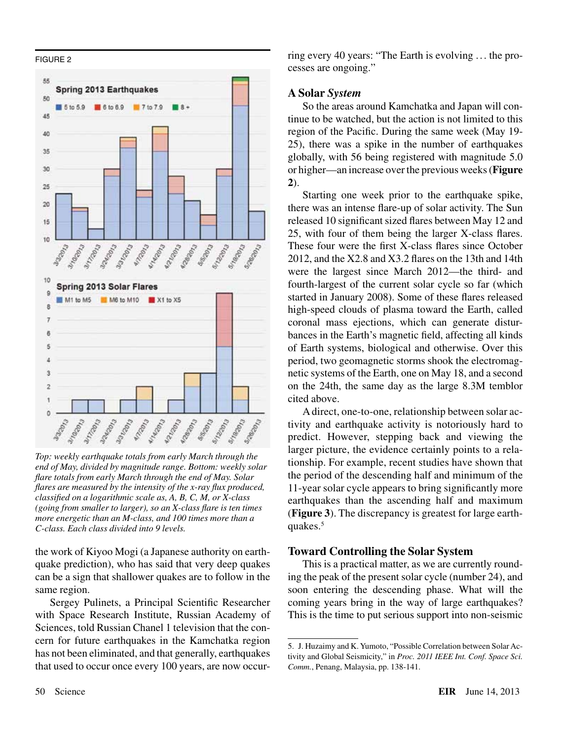#### FIGURE 2



*Top: weekly earthquake totals from early March through the end of May, divided by magnitude range. Bottom: weekly solar flare totals from early March through the end of May. Solar flares are measured by the intensity of the x-ray flux produced, classified on a logarithmic scale as, A, B, C, M, or X-class (going from smaller to larger), so an X-class flare is ten times more energetic than an M-class, and 100 times more than a C-class. Each class divided into 9 levels.*

the work of Kiyoo Mogi (a Japanese authority on earthquake prediction), who has said that very deep quakes can be a sign that shallower quakes are to follow in the same region.

Sergey Pulinets, a Principal Scientific Researcher with Space Research Institute, Russian Academy of Sciences, told Russian Chanel 1 television that the concern for future earthquakes in the Kamchatka region has not been eliminated, and that generally, earthquakes that used to occur once every 100 years, are now occurring every 40 years: "The Earth is evolving ... the processes are ongoing."

# **A Solar** *System*

So the areas around Kamchatka and Japan will continue to be watched, but the action is not limited to this region of the Pacific. During the same week (May 19- 25), there was a spike in the number of earthquakes globally, with 56 being registered with magnitude 5.0 or higher—an increase over the previous weeks (**Figure 2**).

Starting one week prior to the earthquake spike, there was an intense flare-up of solar activity. The Sun released 10 significant sized flares between May 12 and 25, with four of them being the larger X-class flares. These four were the first X-class flares since October 2012, and the X2.8 and X3.2 flares on the 13th and 14th were the largest since March 2012—the third- and fourth-largest of the current solar cycle so far (which started in January 2008). Some of these flares released high-speed clouds of plasma toward the Earth, called coronal mass ejections, which can generate disturbances in the Earth's magnetic field, affecting all kinds of Earth systems, biological and otherwise. Over this period, two geomagnetic storms shook the electromagnetic systems of the Earth, one on May 18, and a second on the 24th, the same day as the large 8.3M temblor cited above.

A direct, one-to-one, relationship between solar activity and earthquake activity is notoriously hard to predict. However, stepping back and viewing the larger picture, the evidence certainly points to a relationship. For example, recent studies have shown that the period of the descending half and minimum of the 11-year solar cycle appears to bring significantly more earthquakes than the ascending half and maximum (**Figure 3**). The discrepancy is greatest for large earthquakes.<sup>5</sup>

### **Toward Controlling the Solar System**

This is a practical matter, as we are currently rounding the peak of the present solar cycle (number 24), and soon entering the descending phase. What will the coming years bring in the way of large earthquakes? This is the time to put serious support into non-seismic

<sup>5.</sup> J. Huzaimy and K. Yumoto, "Possible Correlation between Solar Activity and Global Seismicity," in *Proc. 2011 IEEE Int. Conf. Space Sci. Comm.*, Penang, Malaysia, pp. 138-141.